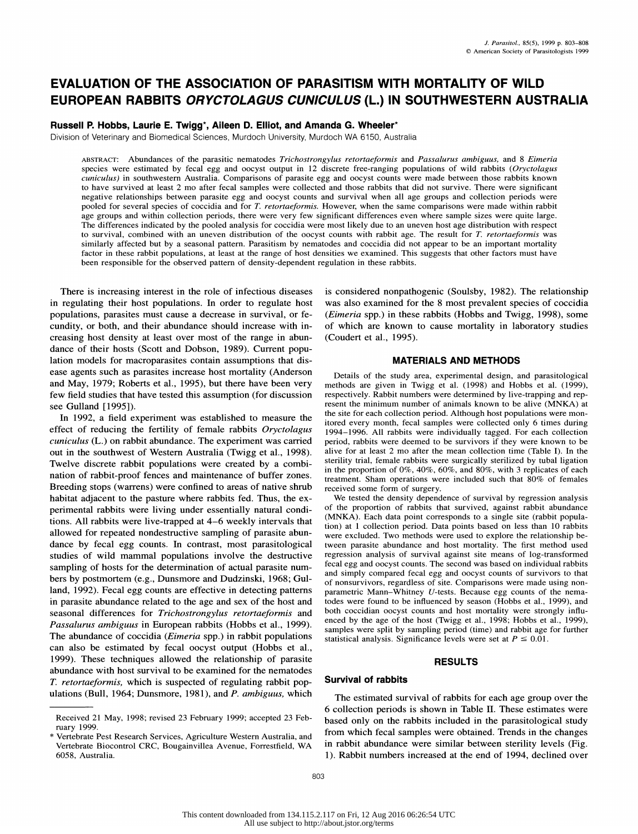# EVALUATION OF THE ASSOCIATION OF PARASITISM WITH MORTALITY OF WILD EUROPEAN RABBITS ORYCTOLAGUS CUNICULUS (L.) IN SOUTHWESTERN AUSTRALIA

# Russell P. Hobbs, Laurie E. Twigg\*, Aileen D. Elliot, and Amanda G. Wheeler\*

Division of Veterinary and Biomedical Sciences, Murdoch University, Murdoch WA 6150, Australia

ABSTRACT: Abundances of the parasitic nematodes Trichostrongylus retortaeformis and Passalurus ambiguus, and 8 Eimeria species were estimated by fecal egg and oocyst output in 12 discrete free-ranging populations of wild rabbits (Oryctolagus cuniculus) in southwestern Australia. Comparisons of parasite egg and oocyst counts were made between those rabbits known to have survived at least 2 mo after fecal samples were collected and those rabbits that did not survive. There were significant negative relationships between parasite egg and oocyst counts and survival when all age groups and collection periods were pooled for several species of coccidia and for T. retortaeformis. However, when the same comparisons were made within rabbit age groups and within collection periods, there were very few significant differences even where sample sizes were quite large. The differences indicated by the pooled analysis for coccidia were most likely due to an uneven host age distribution with respect to survival, combined with an uneven distribution of the oocyst counts with rabbit age. The result for T. retortaeformis was similarly affected but by a seasonal pattern. Parasitism by nematodes and coccidia did not appear to be an important mortality factor in these rabbit populations, at least at the range of host densities we examined. This suggests that other factors must have been responsible for the observed pattern of density-dependent regulation in these rabbits.

 There is increasing interest in the role of infectious diseases in regulating their host populations. In order to regulate host populations, parasites must cause a decrease in survival, or fe cundity, or both, and their abundance should increase with in creasing host density at least over most of the range in abun dance of their hosts (Scott and Dobson, 1989). Current popu lation models for macroparasites contain assumptions that dis ease agents such as parasites increase host mortality (Anderson and May, 1979; Roberts et al., 1995), but there have been very few field studies that have tested this assumption (for discussion see Gulland [1995]).

 In 1992, a field experiment was established to measure the effect of reducing the fertility of female rabbits Oryctolagus cuniculus (L.) on rabbit abundance. The experiment was carried out in the southwest of Western Australia (Twigg et al., 1998). Twelve discrete rabbit populations were created by a combi nation of rabbit-proof fences and maintenance of buffer zones. Breeding stops (warrens) were confined to areas of native shrub habitat adjacent to the pasture where rabbits fed. Thus, the ex perimental rabbits were living under essentially natural condi tions. All rabbits were live-trapped at 4-6 weekly intervals that allowed for repeated nondestructive sampling of parasite abun dance by fecal egg counts. In contrast, most parasitological studies of wild mammal populations involve the destructive sampling of hosts for the determination of actual parasite num bers by postmortem (e.g., Dunsmore and Dudzinski, 1968; Gul land, 1992). Fecal egg counts are effective in detecting patterns in parasite abundance related to the age and sex of the host and seasonal differences for Trichostrongylus retortaeformis and Passalurus ambiguus in European rabbits (Hobbs et al., 1999). The abundance of coccidia (*Eimeria* spp.) in rabbit populations can also be estimated by fecal oocyst output (Hobbs et al., 1999). These techniques allowed the relationship of parasite abundance with host survival to be examined for the nematodes T. retortaeformis, which is suspected of regulating rabbit pop ulations (Bull, 1964; Dunsmore, 1981), and P. ambiguus, which  is considered nonpathogenic (Soulsby, 1982). The relationship was also examined for the 8 most prevalent species of coccidia (Eimeria spp.) in these rabbits (Hobbs and Twigg, 1998), some of which are known to cause mortality in laboratory studies (Coudert et al., 1995).

# MATERIALS AND METHODS

 Details of the study area, experimental design, and parasitological methods are given in Twigg et al. (1998) and Hobbs et al. (1999), respectively. Rabbit numbers were determined by live-trapping and rep resent the minimum number of animals known to be alive (MNKA) at the site for each collection period. Although host populations were mon itored every month, fecal samples were collected only 6 times during 1994-1996. All rabbits were individually tagged. For each collection period, rabbits were deemed to be survivors if they were known to be alive for at least 2 mo after the mean collection time (Table I). In the sterility trial, female rabbits were surgically sterilized by tubal ligation in the proportion of 0%, 40%, 60%, and 80%, with 3 replicates of each treatment. Sham operations were included such that 80% of females received some form of surgery.

 We tested the density dependence of survival by regression analysis of the proportion of rabbits that survived, against rabbit abundance (MNKA). Each data point corresponds to a single site (rabbit popula tion) at 1 collection period. Data points based on less than 10 rabbits were excluded. Two methods were used to explore the relationship be tween parasite abundance and host mortality. The first method used regression analysis of survival against site means of log-transformed fecal egg and oocyst counts. The second was based on individual rabbits and simply compared fecal egg and oocyst counts of survivors to that of nonsurvivors, regardless of site. Comparisons were made using non parametric Mann-Whitney U-tests. Because egg counts of the nema todes were found to be influenced by season (Hobbs et al., 1999), and both coccidian oocyst counts and host mortality were strongly influ enced by the age of the host (Twigg et al., 1998; Hobbs et al., 1999), samples were split by sampling period (time) and rabbit age for further statistical analysis. Significance levels were set at  $P \le 0.01$ .

## RESULTS

# Survival of rabbits

 The estimated survival of rabbits for each age group over the 6 collection periods is shown in Table II. These estimates were based only on the rabbits included in the parasitological study from which fecal samples were obtained. Trends in the changes in rabbit abundance were similar between sterility levels (Fig. 1). Rabbit numbers increased at the end of 1994, declined over

Received 21 May, 1998; revised 23 February 1999; accepted 23 Feb ruary 1999.

 <sup>\*</sup> Vertebrate Pest Research Services, Agriculture Western Australia, and Vertebrate Biocontrol CRC, Bougainvillea Avenue, Forrestfield, WA 6058, Australia.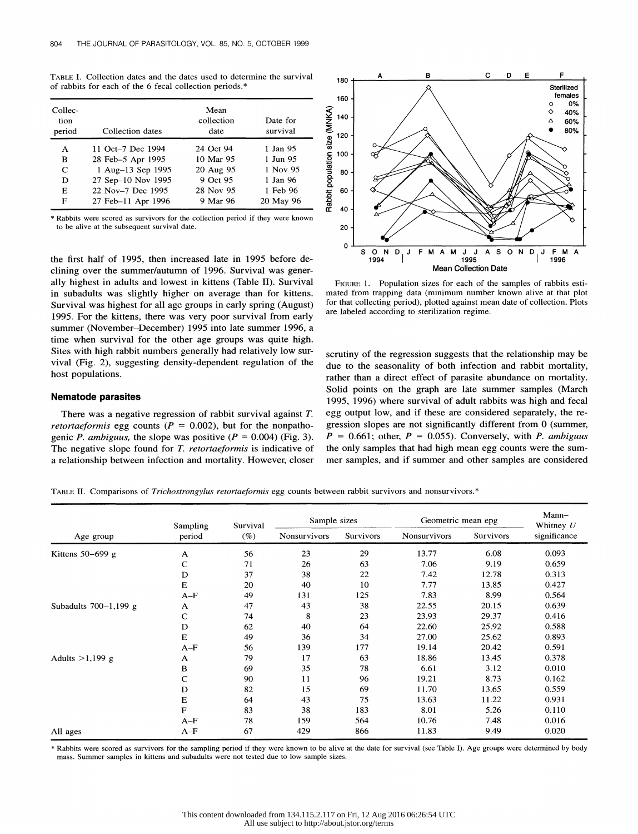TABLE I. Collection dates and the dates used to determine the survival of rabbits for each of the 6 fecal collection periods.\*

| Collec-<br>tion<br>period | Collection dates   | Mean<br>collection<br>date | Date for<br>survival |
|---------------------------|--------------------|----------------------------|----------------------|
| A                         | 11 Oct–7 Dec 1994  | 24 Oct 94                  | 1 Jan 95             |
| B                         | 28 Feb-5 Apr 1995  | 10 Mar 95                  | 1 Jun 95             |
| C                         | 1 Aug-13 Sep 1995  | 20 Aug 95                  | 1 Nov 95             |
| D                         | 27 Sep-10 Nov 1995 | 9 Oct 95                   | 1 Jan 96             |
| Е                         | 22 Nov-7 Dec 1995  | 28 Nov 95                  | 1 Feb 96             |
| F                         | 27 Feb-11 Apr 1996 | 9 Mar 96                   | 20 May 96            |

 \* Rabbits were scored as survivors for the collection period if they were known to be alive at the subsequent survival date.

 the first half of 1995, then increased late in 1995 before de clining over the summer/autumn of 1996. Survival was gener ally highest in adults and lowest in kittens (Table II). Survival in subadults was slightly higher on average than for kittens. Survival was highest for all age groups in early spring (August) 1995. For the kittens, there was very poor survival from early summer (November-December) 1995 into late summer 1996, a time when survival for the other age groups was quite high. Sites with high rabbit numbers generally had relatively low sur vival (Fig. 2), suggesting density-dependent regulation of the host populations.

## Nematode parasites

 There was a negative regression of rabbit survival against T. *retortaeformis* egg counts ( $P = 0.002$ ), but for the nonpathogenic P. ambiguus, the slope was positive ( $P = 0.004$ ) (Fig. 3). The negative slope found for  $T$ . retortaeformis is indicative of a relationship between infection and mortality. However, closer



 FIGURE 1. Population sizes for each of the samples of rabbits esti mated from trapping data (minimum number known alive at that plot for that collecting period), plotted against mean date of collection. Plots are labeled according to sterilization regime.

 scrutiny of the regression suggests that the relationship may be due to the seasonality of both infection and rabbit mortality, rather than a direct effect of parasite abundance on mortality. Solid points on the graph are late summer samples (March 1995, 1996) where survival of adult rabbits was high and fecal egg output low, and if these are considered separately, the re gression slopes are not significantly different from 0 (summer,  $P = 0.661$ ; other,  $P = 0.055$ ). Conversely, with P. ambiguus the only samples that had high mean egg counts were the sum mer samples, and if summer and other samples are considered

TABLE II. Comparisons of Trichostrongylus retortaeformis egg counts between rabbit survivors and nonsurvivors.\*

|                         | Sampling    | Survival | Sample sizes |           | Geometric mean epg |           | Mann-<br>Whitney $U$ |  |
|-------------------------|-------------|----------|--------------|-----------|--------------------|-----------|----------------------|--|
| Age group               | period      | $(\%)$   | Nonsurvivors | Survivors | Nonsurvivors       | Survivors | significance         |  |
| Kittens $50-699$ g      | A           | 56       | 23           | 29        | 13.77              | 6.08      | 0.093                |  |
|                         | $\mathbf C$ | 71       | 26           | 63        | 7.06               | 9.19      | 0.659                |  |
|                         | D           | 37       | 38           | 22        | 7.42               | 12.78     | 0.313                |  |
|                         | $\bf E$     | 20       | 40           | 10        | 7.77               | 13.85     | 0.427                |  |
|                         | $A-F$       | 49       | 131          | 125       | 7.83               | 8.99      | 0.564                |  |
| Subadults $700-1,199$ g | A           | 47       | 43           | 38        | 22.55              | 20.15     | 0.639                |  |
|                         | $\mathbf C$ | 74       | 8            | 23        | 23.93              | 29.37     | 0.416                |  |
|                         | D           | 62       | 40           | 64        | 22.60              | 25.92     | 0.588                |  |
|                         | Е           | 49       | 36           | 34        | 27.00              | 25.62     | 0.893                |  |
|                         | $A-F$       | 56       | 139          | 177       | 19.14              | 20.42     | 0.591                |  |
| Adults $>1,199$ g       | A           | 79       | 17           | 63        | 18.86              | 13.45     | 0.378                |  |
|                         | в           | 69       | 35           | 78        | 6.61               | 3.12      | 0.010                |  |
|                         | $\mathbf C$ | 90       | 11           | 96        | 19.21              | 8.73      | 0.162                |  |
|                         | D           | 82       | 15           | 69        | 11.70              | 13.65     | 0.559                |  |
|                         | Е           | 64       | 43           | 75        | 13.63              | 11.22     | 0.931                |  |
|                         | F           | 83       | 38           | 183       | 8.01               | 5.26      | 0.110                |  |
|                         | $A-F$       | 78       | 159          | 564       | 10.76              | 7.48      | 0.016                |  |
| All ages                | $A-F$       | 67       | 429          | 866       | 11.83              | 9.49      | 0.020                |  |

 \* Rabbits were scored as survivors for the sampling period if they were known to be alive at the date for survival (see Table I). Age groups were determined by body mass. Summer samples in kittens and subadults were not tested due to low sample sizes.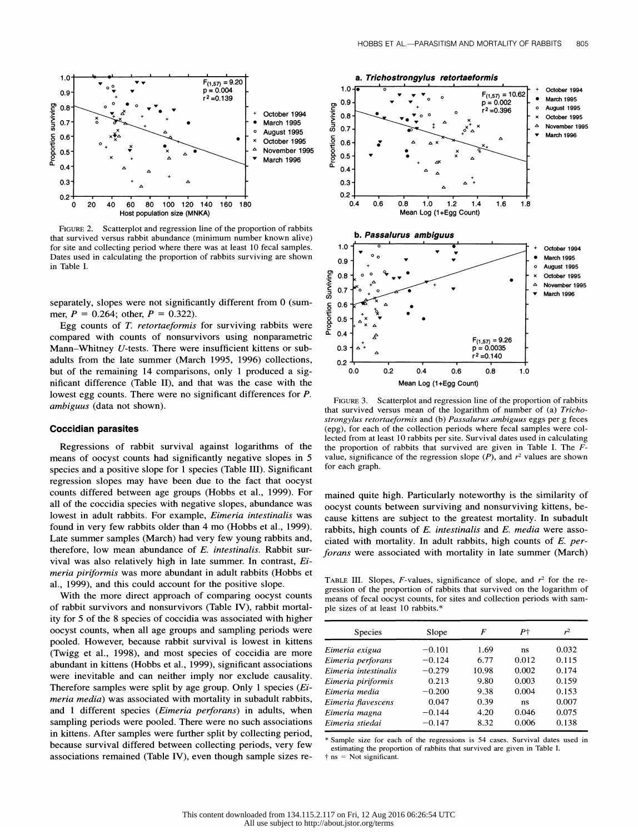

 FIGURE 2. Scatterplot and regression line of the proportion of rabbits that survived versus rabbit abundance (minimum number known alive) for site and collecting period where there was at least 10 fecal samples. Dates used in calculating the proportion of rabbits surviving are shown in Table I.

 separately, slopes were not significantly different from 0 (sum mer,  $P = 0.264$ ; other,  $P = 0.322$ ).

 Egg counts of T. retortaeformis for surviving rabbits were compared with counts of nonsurvivors using nonparametric Mann-Whitney U-tests. There were insufficient kittens or sub adults from the late summer (March 1995, 1996) collections, but of the remaining 14 comparisons, only 1 produced a sig nificant difference (Table II), and that was the case with the lowest egg counts. There were no significant differences for P. ambiguus (data not shown).

# Coccidian parasites

 Regressions of rabbit survival against logarithms of the means of oocyst counts had significantly negative slopes in 5 species and a positive slope for 1 species (Table III). Significant regression slopes may have been due to the fact that oocyst counts differed between age groups (Hobbs et al., 1999). For all of the coccidia species with negative slopes, abundance was lowest in adult rabbits. For example, Eimeria intestinalis was found in very few rabbits older than 4 mo (Hobbs et al., 1999). Late summer samples (March) had very few young rabbits and, therefore, low mean abundance of E. intestinalis. Rabbit sur vival was also relatively high in late summer. In contrast, Ei meria piriformis was more abundant in adult rabbits (Hobbs et al., 1999), and this could account for the positive slope.

 With the more direct approach of comparing oocyst counts of rabbit survivors and nonsurvivors (Table IV), rabbit mortal ity for 5 of the 8 species of coccidia was associated with higher oocyst counts, when all age groups and sampling periods were pooled. However, because rabbit survival is lowest in kittens (Twigg et al., 1998), and most species of coccidia are more abundant in kittens (Hobbs et al., 1999), significant associations were inevitable and can neither imply nor exclude causality. Therefore samples were split by age group. Only 1 species (Ei meria media) was associated with mortality in subadult rabbits, and 1 different species (Eimeria perforans) in adults, when sampling periods were pooled. There were no such associations in kittens. After samples were further split by collecting period, because survival differed between collecting periods, very few associations remained (Table IV), even though sample sizes re-



 FIGURE 3. Scatterplot and regression line of the proportion of rabbits that survived versus mean of the logarithm of number of (a) Tricho strongylus retortaeformis and (b) Passalurus ambiguus eggs per g feces (epg), for each of the collection periods where fecal samples were col lected from at least 10 rabbits per site. Survival dates used in calculating the proportion of rabbits that survived are given in Table I. The F value, significance of the regression slope  $(P)$ , and  $r<sup>2</sup>$  values are shown for each graph.

 mained quite high. Particularly noteworthy is the similarity of oocyst counts between surviving and nonsurviving kittens, be cause kittens are subject to the greatest mortality. In subadult rabbits, high counts of E. intestinalis and E. media were asso ciated with mortality. In adult rabbits, high counts of E. per forans were associated with mortality in late summer (March)

TABLE III. Slopes,  $F$ -values, significance of slope, and  $r<sup>2</sup>$  for the re gression of the proportion of rabbits that survived on the logarithm of means of fecal oocyst counts, for sites and collection periods with sam ple sizes of at least 10 rabbits.\*

| <b>Species</b>       | Slope    | F     | P†    | $r^2$ |
|----------------------|----------|-------|-------|-------|
| Eimeria exigua       | $-0.101$ | 1.69  | ns    | 0.032 |
| Eimeria perforans    | $-0.124$ | 6.77  | 0.012 | 0.115 |
| Eimeria intestinalis | $-0.279$ | 10.98 | 0.002 | 0.174 |
| Eimeria piriformis   | 0.213    | 9.80  | 0.003 | 0.159 |
| Eimeria media        | $-0.200$ | 9.38  | 0.004 | 0.153 |
| Eimeria flavescens   | 0.047    | 0.39  | ns    | 0.007 |
| Eimeria magna        | $-0.144$ | 4.20  | 0.046 | 0.075 |
| Eimeria stiedai      | $-0.147$ | 8.32  | 0.006 | 0.138 |

 \* Sample size for each of the regressions is 54 cases. Survival dates used in estimating the proportion of rabbits that survived are given in Table I.  $\dagger$  ns = Not significant.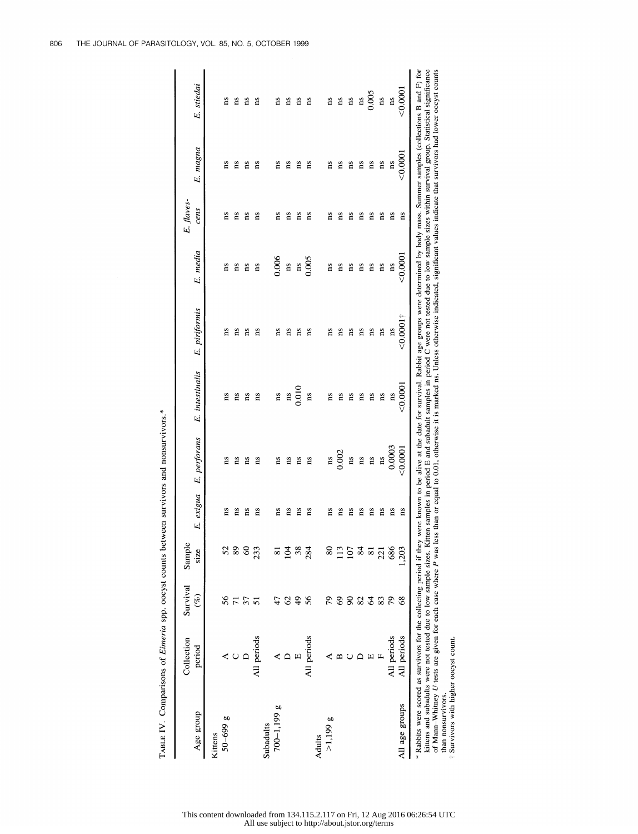806

| .<br>.<br>. |
|-------------|
| $\ddot{ }$  |
|             |
| l           |
|             |
| ĺ           |

| magna<br>0.0001<br>$\mathbf{n}\mathbf{s}$<br>$\mathbf{m}$<br>ns<br>$\mathbf{n}\mathbf{s}$<br>$\mathbf{n}\mathbf{s}$<br>$\mathbf{n}$<br>ns<br>ns<br>$\mathbf{n}$<br>$\mathbf{n}$<br>$\mathbf{n}\mathbf{s}$<br>$\mathbf{n}\mathbf{s}$<br>ns<br>ns<br>$\mathbf{n}$<br>Ŀ,<br>E. flaves-<br>cens<br>$\mathbf{m}$<br>$\mathbf{n}$<br>$\mathbf{n}$<br>$\mathbf{m}$<br>ns<br>ns<br>$\mathbf{n}$ s<br>ΩS<br>ns<br>Ξ<br>ns<br>$\mathbf{n}$<br>$\mathbf{n}$<br>$\mathbf{n}$<br>$\mathbf{n}$<br>ns<br>media<br>< 0.0001<br>0.005<br>0.006<br>$\mathbf{n}\mathbf{s}$<br>ns<br>ns<br>$\mathbf{n}\mathbf{s}$<br>ns<br>ns<br>ns<br>$\mathbf{n}$ s<br>$\mathbf{n}$<br>ns<br>$\mathbf{\underline{a}}$<br>$\mathbf{m}$<br>ns<br>Ŀ.<br>E. piriformis<br>0.0001<br>$\mathbf{n}\mathbf{s}$<br>ns<br>ns<br>$\mathbf{n}\mathbf{s}$<br>$\mathbf{n}\mathbf{s}$<br>$\mathbf{n}$<br>$\mathbf{n}$<br>ns<br>$\mathbf{n}$<br>$\mathbf{n}\mathbf{s}$<br>ns<br>$\mathbf{m}$<br>ns<br>ns<br>ns<br>intestinalis<br>< 0.0001<br>0.010<br>$\mathbf{n}$ s<br>$\mathbf{n}\mathbf{s}$<br>$\mathbf{ns}$<br>$\mathbf{m}$<br>ns<br>ns<br>$\mathbf{n}\mathbf{s}$<br>ns<br>$\mathbf{n}$<br>$\mathbf{n}$<br>ns<br>$\mathbf{n}\mathbf{s}$<br>ns<br>$\mathbf{n}$<br>Ŀ.<br>perforans<br>0.0003<br>0.0001<br>0.002<br>$\mathbf{n}$ s<br>ns<br>$\mathbf{n}$ s<br>ns<br>$\mathbf{n}$<br>$\mathbf{n}$<br>$\mathbf{n}$ s<br>ns<br>$\mathbf{n}$<br>$\overline{\mathbf{n}}$<br>ns<br>ns<br>ns<br>$\mathbf{E}$<br>exigua<br>$\mathbf{n}$<br>$\mathbf{n}\mathbf{s}$<br>ns<br>$\mathbf{n}$<br>$\mathbf{n}$<br>$\mathbf{n}$ s<br>$\mathbf{n}\mathbf{s}$<br>ns<br>ns<br>$\mathbf{n}\mathbf{s}$<br>${\bf n}{\bf s}$<br>$\mathbf{n}\mathbf{s}$<br>$\mathbf{n}\mathbf{s}$<br>ns<br>$\mathbf{n}\mathbf{s}$<br>$\mathbf{n}\mathbf{s}$<br>Ŀ.<br>Sample<br>$52\,$<br>$\mbox{ }_{\mbox{60}}$<br>686<br>1,203<br>233<br>38<br>284<br>$80\,$<br>113<br>84<br>104<br>$\overline{\bf 81}$<br>$\bf 81$<br>107<br>221<br>size<br>Survival<br>$($ %)<br>56<br>$49$<br>56<br>$\infty$<br>$79$ $68$<br>$\overline{7}$<br>51<br>$\mathfrak{S}$<br>$\mathcal{L}$<br>$\mathbf{69}$<br>82<br>$\mathcal{L}$<br>$83\,$<br>37<br>47<br>All periods<br>All periods<br>All periods<br>All periods<br>Collection<br>than nonsurvivors.<br>† Survivors with higher oocyst count.<br>period<br>$\mathsf{D}$<br>$\Box$<br>$\mathbf \mu$<br>$\mathbf{L}$<br>∢<br>$\cup$<br>≺<br>щ<br>⋖<br>$\mathbf m$<br>$\cup$<br>≏<br>All age groups<br>60<br>700-1,199<br>Age group<br>œ<br>ø<br>$50 - 699$<br>Subadults<br>>1,199<br>Kittens<br>Adults | stiedai<br>< 0.0001<br>0.005<br>ns<br>$\mathbf{n}\mathbf{s}$<br>ns<br>ns<br>ns<br>$\mathbf{n}\mathbf{s}$<br>$\mathbf{n}$<br>$\mathbf{n}\mathbf{s}$<br>ns<br>ns<br>$\mathbf{n}$<br>ns<br>$\mathbf{n}$<br>ns<br>E. | * Rabbits were scored as survivors for the collecting period if they were known to be alive at the date for survival. Rabbit age groups were determined by body mass. Summer samples (collections B and F) for kittens and sub |
|------------------------------------------------------------------------------------------------------------------------------------------------------------------------------------------------------------------------------------------------------------------------------------------------------------------------------------------------------------------------------------------------------------------------------------------------------------------------------------------------------------------------------------------------------------------------------------------------------------------------------------------------------------------------------------------------------------------------------------------------------------------------------------------------------------------------------------------------------------------------------------------------------------------------------------------------------------------------------------------------------------------------------------------------------------------------------------------------------------------------------------------------------------------------------------------------------------------------------------------------------------------------------------------------------------------------------------------------------------------------------------------------------------------------------------------------------------------------------------------------------------------------------------------------------------------------------------------------------------------------------------------------------------------------------------------------------------------------------------------------------------------------------------------------------------------------------------------------------------------------------------------------------------------------------------------------------------------------------------------------------------------------------------------------------------------------------------------------------------------------------------------------------------------------------------------------------------------------------------------------------------------------------------------------------------------------------------------------------------------------------------------------------------------------------------------------------------------------------------------------------------------------------------------------|------------------------------------------------------------------------------------------------------------------------------------------------------------------------------------------------------------------|--------------------------------------------------------------------------------------------------------------------------------------------------------------------------------------------------------------------------------|
|                                                                                                                                                                                                                                                                                                                                                                                                                                                                                                                                                                                                                                                                                                                                                                                                                                                                                                                                                                                                                                                                                                                                                                                                                                                                                                                                                                                                                                                                                                                                                                                                                                                                                                                                                                                                                                                                                                                                                                                                                                                                                                                                                                                                                                                                                                                                                                                                                                                                                                                                                |                                                                                                                                                                                                                  |                                                                                                                                                                                                                                |
|                                                                                                                                                                                                                                                                                                                                                                                                                                                                                                                                                                                                                                                                                                                                                                                                                                                                                                                                                                                                                                                                                                                                                                                                                                                                                                                                                                                                                                                                                                                                                                                                                                                                                                                                                                                                                                                                                                                                                                                                                                                                                                                                                                                                                                                                                                                                                                                                                                                                                                                                                |                                                                                                                                                                                                                  |                                                                                                                                                                                                                                |
|                                                                                                                                                                                                                                                                                                                                                                                                                                                                                                                                                                                                                                                                                                                                                                                                                                                                                                                                                                                                                                                                                                                                                                                                                                                                                                                                                                                                                                                                                                                                                                                                                                                                                                                                                                                                                                                                                                                                                                                                                                                                                                                                                                                                                                                                                                                                                                                                                                                                                                                                                |                                                                                                                                                                                                                  |                                                                                                                                                                                                                                |
|                                                                                                                                                                                                                                                                                                                                                                                                                                                                                                                                                                                                                                                                                                                                                                                                                                                                                                                                                                                                                                                                                                                                                                                                                                                                                                                                                                                                                                                                                                                                                                                                                                                                                                                                                                                                                                                                                                                                                                                                                                                                                                                                                                                                                                                                                                                                                                                                                                                                                                                                                |                                                                                                                                                                                                                  |                                                                                                                                                                                                                                |
|                                                                                                                                                                                                                                                                                                                                                                                                                                                                                                                                                                                                                                                                                                                                                                                                                                                                                                                                                                                                                                                                                                                                                                                                                                                                                                                                                                                                                                                                                                                                                                                                                                                                                                                                                                                                                                                                                                                                                                                                                                                                                                                                                                                                                                                                                                                                                                                                                                                                                                                                                |                                                                                                                                                                                                                  |                                                                                                                                                                                                                                |
|                                                                                                                                                                                                                                                                                                                                                                                                                                                                                                                                                                                                                                                                                                                                                                                                                                                                                                                                                                                                                                                                                                                                                                                                                                                                                                                                                                                                                                                                                                                                                                                                                                                                                                                                                                                                                                                                                                                                                                                                                                                                                                                                                                                                                                                                                                                                                                                                                                                                                                                                                |                                                                                                                                                                                                                  |                                                                                                                                                                                                                                |
|                                                                                                                                                                                                                                                                                                                                                                                                                                                                                                                                                                                                                                                                                                                                                                                                                                                                                                                                                                                                                                                                                                                                                                                                                                                                                                                                                                                                                                                                                                                                                                                                                                                                                                                                                                                                                                                                                                                                                                                                                                                                                                                                                                                                                                                                                                                                                                                                                                                                                                                                                |                                                                                                                                                                                                                  |                                                                                                                                                                                                                                |
|                                                                                                                                                                                                                                                                                                                                                                                                                                                                                                                                                                                                                                                                                                                                                                                                                                                                                                                                                                                                                                                                                                                                                                                                                                                                                                                                                                                                                                                                                                                                                                                                                                                                                                                                                                                                                                                                                                                                                                                                                                                                                                                                                                                                                                                                                                                                                                                                                                                                                                                                                |                                                                                                                                                                                                                  |                                                                                                                                                                                                                                |
|                                                                                                                                                                                                                                                                                                                                                                                                                                                                                                                                                                                                                                                                                                                                                                                                                                                                                                                                                                                                                                                                                                                                                                                                                                                                                                                                                                                                                                                                                                                                                                                                                                                                                                                                                                                                                                                                                                                                                                                                                                                                                                                                                                                                                                                                                                                                                                                                                                                                                                                                                |                                                                                                                                                                                                                  |                                                                                                                                                                                                                                |
|                                                                                                                                                                                                                                                                                                                                                                                                                                                                                                                                                                                                                                                                                                                                                                                                                                                                                                                                                                                                                                                                                                                                                                                                                                                                                                                                                                                                                                                                                                                                                                                                                                                                                                                                                                                                                                                                                                                                                                                                                                                                                                                                                                                                                                                                                                                                                                                                                                                                                                                                                |                                                                                                                                                                                                                  |                                                                                                                                                                                                                                |
|                                                                                                                                                                                                                                                                                                                                                                                                                                                                                                                                                                                                                                                                                                                                                                                                                                                                                                                                                                                                                                                                                                                                                                                                                                                                                                                                                                                                                                                                                                                                                                                                                                                                                                                                                                                                                                                                                                                                                                                                                                                                                                                                                                                                                                                                                                                                                                                                                                                                                                                                                |                                                                                                                                                                                                                  |                                                                                                                                                                                                                                |
|                                                                                                                                                                                                                                                                                                                                                                                                                                                                                                                                                                                                                                                                                                                                                                                                                                                                                                                                                                                                                                                                                                                                                                                                                                                                                                                                                                                                                                                                                                                                                                                                                                                                                                                                                                                                                                                                                                                                                                                                                                                                                                                                                                                                                                                                                                                                                                                                                                                                                                                                                |                                                                                                                                                                                                                  |                                                                                                                                                                                                                                |
|                                                                                                                                                                                                                                                                                                                                                                                                                                                                                                                                                                                                                                                                                                                                                                                                                                                                                                                                                                                                                                                                                                                                                                                                                                                                                                                                                                                                                                                                                                                                                                                                                                                                                                                                                                                                                                                                                                                                                                                                                                                                                                                                                                                                                                                                                                                                                                                                                                                                                                                                                |                                                                                                                                                                                                                  |                                                                                                                                                                                                                                |
|                                                                                                                                                                                                                                                                                                                                                                                                                                                                                                                                                                                                                                                                                                                                                                                                                                                                                                                                                                                                                                                                                                                                                                                                                                                                                                                                                                                                                                                                                                                                                                                                                                                                                                                                                                                                                                                                                                                                                                                                                                                                                                                                                                                                                                                                                                                                                                                                                                                                                                                                                |                                                                                                                                                                                                                  |                                                                                                                                                                                                                                |
|                                                                                                                                                                                                                                                                                                                                                                                                                                                                                                                                                                                                                                                                                                                                                                                                                                                                                                                                                                                                                                                                                                                                                                                                                                                                                                                                                                                                                                                                                                                                                                                                                                                                                                                                                                                                                                                                                                                                                                                                                                                                                                                                                                                                                                                                                                                                                                                                                                                                                                                                                |                                                                                                                                                                                                                  |                                                                                                                                                                                                                                |
|                                                                                                                                                                                                                                                                                                                                                                                                                                                                                                                                                                                                                                                                                                                                                                                                                                                                                                                                                                                                                                                                                                                                                                                                                                                                                                                                                                                                                                                                                                                                                                                                                                                                                                                                                                                                                                                                                                                                                                                                                                                                                                                                                                                                                                                                                                                                                                                                                                                                                                                                                |                                                                                                                                                                                                                  |                                                                                                                                                                                                                                |
|                                                                                                                                                                                                                                                                                                                                                                                                                                                                                                                                                                                                                                                                                                                                                                                                                                                                                                                                                                                                                                                                                                                                                                                                                                                                                                                                                                                                                                                                                                                                                                                                                                                                                                                                                                                                                                                                                                                                                                                                                                                                                                                                                                                                                                                                                                                                                                                                                                                                                                                                                |                                                                                                                                                                                                                  |                                                                                                                                                                                                                                |
|                                                                                                                                                                                                                                                                                                                                                                                                                                                                                                                                                                                                                                                                                                                                                                                                                                                                                                                                                                                                                                                                                                                                                                                                                                                                                                                                                                                                                                                                                                                                                                                                                                                                                                                                                                                                                                                                                                                                                                                                                                                                                                                                                                                                                                                                                                                                                                                                                                                                                                                                                |                                                                                                                                                                                                                  |                                                                                                                                                                                                                                |
|                                                                                                                                                                                                                                                                                                                                                                                                                                                                                                                                                                                                                                                                                                                                                                                                                                                                                                                                                                                                                                                                                                                                                                                                                                                                                                                                                                                                                                                                                                                                                                                                                                                                                                                                                                                                                                                                                                                                                                                                                                                                                                                                                                                                                                                                                                                                                                                                                                                                                                                                                |                                                                                                                                                                                                                  |                                                                                                                                                                                                                                |
|                                                                                                                                                                                                                                                                                                                                                                                                                                                                                                                                                                                                                                                                                                                                                                                                                                                                                                                                                                                                                                                                                                                                                                                                                                                                                                                                                                                                                                                                                                                                                                                                                                                                                                                                                                                                                                                                                                                                                                                                                                                                                                                                                                                                                                                                                                                                                                                                                                                                                                                                                |                                                                                                                                                                                                                  |                                                                                                                                                                                                                                |
|                                                                                                                                                                                                                                                                                                                                                                                                                                                                                                                                                                                                                                                                                                                                                                                                                                                                                                                                                                                                                                                                                                                                                                                                                                                                                                                                                                                                                                                                                                                                                                                                                                                                                                                                                                                                                                                                                                                                                                                                                                                                                                                                                                                                                                                                                                                                                                                                                                                                                                                                                |                                                                                                                                                                                                                  |                                                                                                                                                                                                                                |
|                                                                                                                                                                                                                                                                                                                                                                                                                                                                                                                                                                                                                                                                                                                                                                                                                                                                                                                                                                                                                                                                                                                                                                                                                                                                                                                                                                                                                                                                                                                                                                                                                                                                                                                                                                                                                                                                                                                                                                                                                                                                                                                                                                                                                                                                                                                                                                                                                                                                                                                                                |                                                                                                                                                                                                                  |                                                                                                                                                                                                                                |
|                                                                                                                                                                                                                                                                                                                                                                                                                                                                                                                                                                                                                                                                                                                                                                                                                                                                                                                                                                                                                                                                                                                                                                                                                                                                                                                                                                                                                                                                                                                                                                                                                                                                                                                                                                                                                                                                                                                                                                                                                                                                                                                                                                                                                                                                                                                                                                                                                                                                                                                                                |                                                                                                                                                                                                                  |                                                                                                                                                                                                                                |
|                                                                                                                                                                                                                                                                                                                                                                                                                                                                                                                                                                                                                                                                                                                                                                                                                                                                                                                                                                                                                                                                                                                                                                                                                                                                                                                                                                                                                                                                                                                                                                                                                                                                                                                                                                                                                                                                                                                                                                                                                                                                                                                                                                                                                                                                                                                                                                                                                                                                                                                                                |                                                                                                                                                                                                                  |                                                                                                                                                                                                                                |
|                                                                                                                                                                                                                                                                                                                                                                                                                                                                                                                                                                                                                                                                                                                                                                                                                                                                                                                                                                                                                                                                                                                                                                                                                                                                                                                                                                                                                                                                                                                                                                                                                                                                                                                                                                                                                                                                                                                                                                                                                                                                                                                                                                                                                                                                                                                                                                                                                                                                                                                                                |                                                                                                                                                                                                                  |                                                                                                                                                                                                                                |
|                                                                                                                                                                                                                                                                                                                                                                                                                                                                                                                                                                                                                                                                                                                                                                                                                                                                                                                                                                                                                                                                                                                                                                                                                                                                                                                                                                                                                                                                                                                                                                                                                                                                                                                                                                                                                                                                                                                                                                                                                                                                                                                                                                                                                                                                                                                                                                                                                                                                                                                                                |                                                                                                                                                                                                                  |                                                                                                                                                                                                                                |
|                                                                                                                                                                                                                                                                                                                                                                                                                                                                                                                                                                                                                                                                                                                                                                                                                                                                                                                                                                                                                                                                                                                                                                                                                                                                                                                                                                                                                                                                                                                                                                                                                                                                                                                                                                                                                                                                                                                                                                                                                                                                                                                                                                                                                                                                                                                                                                                                                                                                                                                                                |                                                                                                                                                                                                                  |                                                                                                                                                                                                                                |
|                                                                                                                                                                                                                                                                                                                                                                                                                                                                                                                                                                                                                                                                                                                                                                                                                                                                                                                                                                                                                                                                                                                                                                                                                                                                                                                                                                                                                                                                                                                                                                                                                                                                                                                                                                                                                                                                                                                                                                                                                                                                                                                                                                                                                                                                                                                                                                                                                                                                                                                                                |                                                                                                                                                                                                                  |                                                                                                                                                                                                                                |
|                                                                                                                                                                                                                                                                                                                                                                                                                                                                                                                                                                                                                                                                                                                                                                                                                                                                                                                                                                                                                                                                                                                                                                                                                                                                                                                                                                                                                                                                                                                                                                                                                                                                                                                                                                                                                                                                                                                                                                                                                                                                                                                                                                                                                                                                                                                                                                                                                                                                                                                                                |                                                                                                                                                                                                                  |                                                                                                                                                                                                                                |
|                                                                                                                                                                                                                                                                                                                                                                                                                                                                                                                                                                                                                                                                                                                                                                                                                                                                                                                                                                                                                                                                                                                                                                                                                                                                                                                                                                                                                                                                                                                                                                                                                                                                                                                                                                                                                                                                                                                                                                                                                                                                                                                                                                                                                                                                                                                                                                                                                                                                                                                                                |                                                                                                                                                                                                                  |                                                                                                                                                                                                                                |
|                                                                                                                                                                                                                                                                                                                                                                                                                                                                                                                                                                                                                                                                                                                                                                                                                                                                                                                                                                                                                                                                                                                                                                                                                                                                                                                                                                                                                                                                                                                                                                                                                                                                                                                                                                                                                                                                                                                                                                                                                                                                                                                                                                                                                                                                                                                                                                                                                                                                                                                                                |                                                                                                                                                                                                                  |                                                                                                                                                                                                                                |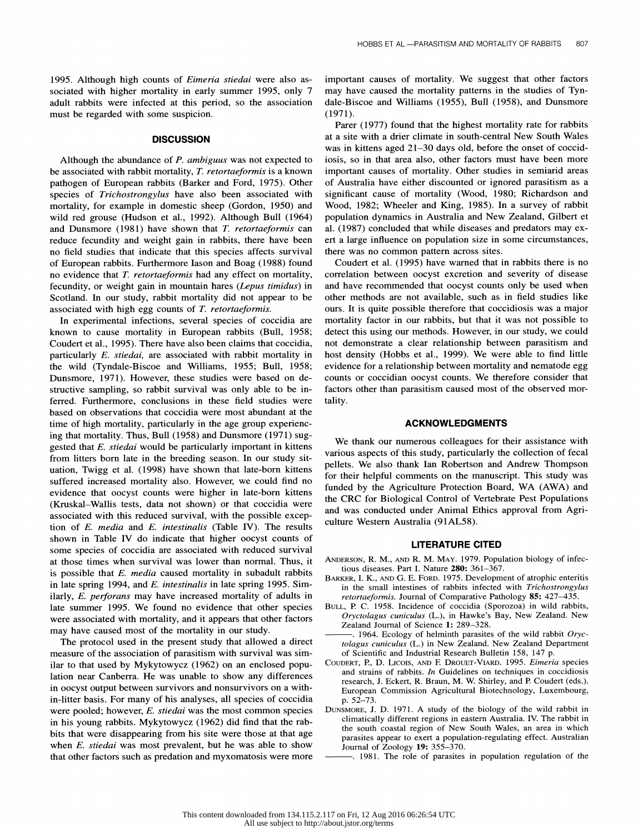1995. Although high counts of Eimeria stiedai were also as sociated with higher mortality in early summer 1995, only 7 adult rabbits were infected at this period, so the association must be regarded with some suspicion.

## **DISCUSSION**

 Although the abundance of P. ambiguus was not expected to be associated with rabbit mortality, T. retortaeformis is a known pathogen of European rabbits (Barker and Ford, 1975). Other species of Trichostrongylus have also been associated with mortality, for example in domestic sheep (Gordon, 1950) and wild red grouse (Hudson et al., 1992). Although Bull (1964) and Dunsmore (1981) have shown that T. retortaeformis can reduce fecundity and weight gain in rabbits, there have been no field studies that indicate that this species affects survival of European rabbits. Furthermore lason and Boag (1988) found no evidence that T. retortaeformis had any effect on mortality, fecundity, or weight gain in mountain hares (Lepus timidus) in Scotland. In our study, rabbit mortality did not appear to be associated with high egg counts of T. retortaeformis.

 In experimental infections, several species of coccidia are known to cause mortality in European rabbits (Bull, 1958; Coudert et al., 1995). There have also been claims that coccidia, particularly E. stiedai, are associated with rabbit mortality in the wild (Tyndale-Biscoe and Williams, 1955; Bull, 1958; Dunsmore, 1971). However, these studies were based on de structive sampling, so rabbit survival was only able to be in ferred. Furthermore, conclusions in these field studies were based on observations that coccidia were most abundant at the time of high mortality, particularly in the age group experienc ing that mortality. Thus, Bull (1958) and Dunsmore (1971) sug gested that E. stiedai would be particularly important in kittens from litters born late in the breeding season. In our study sit uation, Twigg et al. (1998) have shown that late-born kittens suffered increased mortality also. However, we could find no evidence that oocyst counts were higher in late-born kittens (Kruskal-Wallis tests, data not shown) or that coccidia were associated with this reduced survival, with the possible excep tion of E. media and E. intestinalis (Table IV). The results shown in Table IV do indicate that higher oocyst counts of some species of coccidia are associated with reduced survival at those times when survival was lower than normal. Thus, it is possible that  $E$ . media caused mortality in subadult rabbits in late spring 1994, and E. intestinalis in late spring 1995. Sim ilarly, E. perforans may have increased mortality of adults in late summer 1995. We found no evidence that other species were associated with mortality, and it appears that other factors may have caused most of the mortality in our study.

 The protocol used in the present study that allowed a direct measure of the association of parasitism with survival was sim ilar to that used by Mykytowycz (1962) on an enclosed popu lation near Canberra. He was unable to show any differences in oocyst output between survivors and nonsurvivors on a with in-litter basis. For many of his analyses, all species of coccidia were pooled; however, E. stiedai was the most common species in his young rabbits. Mykytowycz (1962) did find that the rab bits that were disappearing from his site were those at that age when E. stiedai was most prevalent, but he was able to show that other factors such as predation and myxomatosis were more  important causes of mortality. We suggest that other factors may have caused the mortality patterns in the studies of Tyn dale-Biscoe and Williams (1955), Bull (1958), and Dunsmore (1971).

Parer (1977) found that the highest mortality rate for rabbits at a site with a drier climate in south-central New South Wales was in kittens aged 21-30 days old, before the onset of coccid iosis, so in that area also, other factors must have been more important causes of mortality. Other studies in semiarid areas of Australia have either discounted or ignored parasitism as a significant cause of mortality (Wood, 1980; Richardson and Wood, 1982; Wheeler and King, 1985). In a survey of rabbit population dynamics in Australia and New Zealand, Gilbert et al. (1987) concluded that while diseases and predators may ex ert a large influence on population size in some circumstances, there was no common pattern across sites.

 Coudert et al. (1995) have warned that in rabbits there is no correlation between oocyst excretion and severity of disease and have recommended that oocyst counts only be used when other methods are not available, such as in field studies like ours. It is quite possible therefore that coccidiosis was a major mortality factor in our rabbits, but that it was not possible to detect this using our methods. However, in our study, we could not demonstrate a clear relationship between parasitism and host density (Hobbs et al., 1999). We were able to find little evidence for a relationship between mortality and nematode egg counts or coccidian oocyst counts. We therefore consider that factors other than parasitism caused most of the observed mor tality.

#### ACKNOWLEDGMENTS

 We thank our numerous colleagues for their assistance with various aspects of this study, particularly the collection of fecal pellets. We also thank Ian Robertson and Andrew Thompson for their helpful comments on the manuscript. This study was funded by the Agriculture Protection Board, WA (AWA) and the CRC for Biological Control of Vertebrate Pest Populations and was conducted under Animal Ethics approval from Agri culture Western Australia (91AL58).

## LITERATURE CITED

- ANDERSON, R. M., AND R. M. MAY. 1979. Population biology of infec tious diseases. Part I. Nature 280: 361-367.
- BARKER, I. K., AND G. E. FORD. 1975. Development of atrophic enteritis in the small intestines of rabbits infected with Trichostrongylus retortaeformis. Journal of Comparative Pathology 85: 427-435.
- BULL, P. C. 1958. Incidence of coccidia (Sporozoa) in wild rabbits, Oryctolagus cuniculus (L.), in Hawke's Bay, New Zealand. New Zealand Journal of Science 1: 289-328.
- $-$ . 1964. Ecology of helminth parasites of the wild rabbit  $Oryc$  tolagus cuniculus (L.) in New Zealand. New Zealand Department of Scientific and Industrial Research Bulletin 158, 147 p.
- COUDERT, P., D. LIcoIS, AND E DROUET-VIARD. 1995. Eimeria species and strains of rabbits. In Guidelines on techniques in coccidiosis research, J. Eckert, R. Braun, M. W. Shirley, and P. Coudert (eds.). European Commission Agricultural Biotechnology, Luxembourg, p. 52-73.
- DUNSMORE, J. D. 1971. A study of the biology of the wild rabbit in climatically different regions in eastern Australia. IV. The rabbit in the south coastal region of New South Wales, an area in which parasites appear to exert a population-regulating effect. Australian Journal of Zoology 19: 355-370.
	- . 1981. The role of parasites in population regulation of the